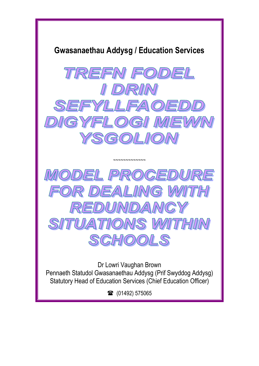





Dr Lowri Vaughan Brown Pennaeth Statudol Gwasanaethau Addysg (Prif Swyddog Addysg) Statutory Head of Education Services (Chief Education Officer)

■ (01492) 575065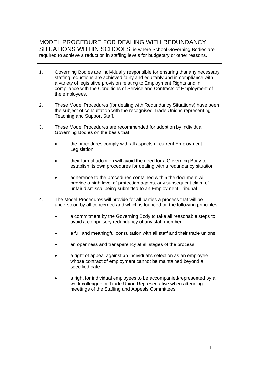# MODEL PROCEDURE FOR DEALING WITH REDUNDANCY SITUATIONS WITHIN SCHOOLS ie where School Governing Bodies are

required to achieve a reduction in staffing levels for budgetary or other reasons.

- 1. Governing Bodies are individually responsible for ensuring that any necessary staffing reductions are achieved fairly and equitably and in compliance with a variety of legislative provision relating to Employment Rights and in compliance with the Conditions of Service and Contracts of Employment of the employees.
- 2. These Model Procedures (for dealing with Redundancy Situations) have been the subject of consultation with the recognised Trade Unions representing Teaching and Support Staff.
- 3. These Model Procedures are recommended for adoption by individual Governing Bodies on the basis that:
	- the procedures comply with all aspects of current Employment **Legislation**
	- their formal adoption will avoid the need for a Governing Body to establish its own procedures for dealing with a redundancy situation
	- adherence to the procedures contained within the document will provide a high level of protection against any subsequent claim of unfair dismissal being submitted to an Employment Tribunal
- 4. The Model Procedures will provide for all parties a process that will be understood by all concerned and which is founded on the following principles:
	- a commitment by the Governing Body to take all reasonable steps to avoid a compulsory redundancy of any staff member
	- a full and meaningful consultation with all staff and their trade unions
	- an openness and transparency at all stages of the process
	- a right of appeal against an individual's selection as an employee whose contract of employment cannot be maintained beyond a specified date
	- a right for individual employees to be accompanied/represented by a work colleague or Trade Union Representative when attending meetings of the Staffing and Appeals Committees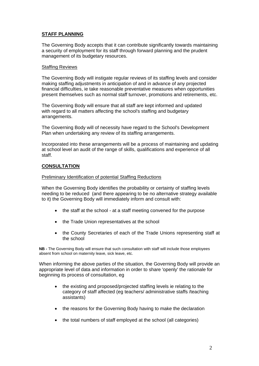## **STAFF PLANNING**

The Governing Body accepts that it can contribute significantly towards maintaining a security of employment for its staff through forward planning and the prudent management of its budgetary resources.

## Staffing Reviews

The Governing Body will instigate regular reviews of its staffing levels and consider making staffing adjustments in anticipation of and in advance of any projected financial difficulties, ie take reasonable preventative measures when opportunities present themselves such as normal staff turnover, promotions and retirements, etc.

The Governing Body will ensure that all staff are kept informed and updated with regard to all matters affecting the school's staffing and budgetary arrangements.

The Governing Body will of necessity have regard to the School's Development Plan when undertaking any review of its staffing arrangements.

Incorporated into these arrangements will be a process of maintaining and updating at school level an audit of the range of skills, qualifications and experience of all staff.

## **CONSULTATION**

## Preliminary Identification of potential Staffing Reductions

When the Governing Body identifies the probability or certainty of staffing levels needing to be reduced (and there appearing to be no alternative strategy available to it) the Governing Body will immediately inform and consult with:

- the staff at the school at a staff meeting convened for the purpose
- the Trade Union representatives at the school
- the County Secretaries of each of the Trade Unions representing staff at the school

**NB -** The Governing Body will ensure that such consultation with staff will include those employees absent from school on maternity leave, sick leave, etc.

When informing the above parties of the situation, the Governing Body will provide an appropriate level of data and information in order to share 'openly' the rationale for beginning its process of consultation, eg

- the existing and proposed/projected staffing levels ie relating to the category of staff affected (eg teachers/ administrative staffs /teaching assistants)
- the reasons for the Governing Body having to make the declaration
- the total numbers of staff employed at the school (all categories)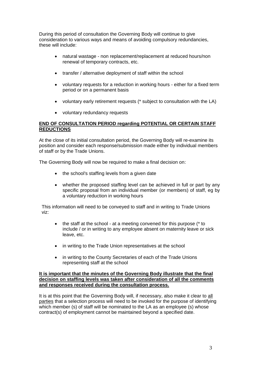During this period of consultation the Governing Body will continue to give consideration to various ways and means of avoiding compulsory redundancies, these will include:

- natural wastage non replacement/replacement at reduced hours/non renewal of temporary contracts, etc.
- transfer / alternative deployment of staff within the school
- voluntary requests for a reduction in working hours either for a fixed term period or on a permanent basis
- voluntary early retirement requests (\* subject to consultation with the LA)
- voluntary redundancy requests

## **END OF CONSULTATION PERIOD regarding POTENTIAL OR CERTAIN STAFF REDUCTIONS**

At the close of its initial consultation period, the Governing Body will re-examine its position and consider each response/submission made either by individual members of staff or by the Trade Unions.

The Governing Body will now be required to make a final decision on:

- the school's staffing levels from a given date
- whether the proposed staffing level can be achieved in full or part by any specific proposal from an individual member (or members) of staff, eg by a voluntary reduction in working hours

This information will need to be conveyed to staff and in writing to Trade Unions viz:

- $\bullet$  the staff at the school at a meeting convened for this purpose ( $*$  to include / or in writing to any employee absent on maternity leave or sick leave, etc.
- in writing to the Trade Union representatives at the school
- in writing to the County Secretaries of each of the Trade Unions representing staff at the school

### **It is important that the minutes of the Governing Body illustrate that the final decision on staffing levels was taken after consideration of all the comments and responses received during the consultation process.**

It is at this point that the Governing Body will, if necessary, also make it clear to all parties that a selection process will need to be invoked for the purpose of identifying which member (s) of staff will be nominated to the LA as an employee (s) whose contract(s) of employment cannot be maintained beyond a specified date.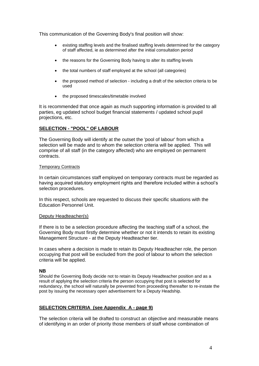This communication of the Governing Body's final position will show:

- existing staffing levels and the finalised staffing levels determined for the category of staff affected, ie as determined after the initial consultation period
- the reasons for the Governing Body having to alter its staffing levels
- the total numbers of staff employed at the school (all categories)
- the proposed method of selection including a draft of the selection criteria to be used
- the proposed timescales/timetable involved

It is recommended that once again as much supporting information is provided to all parties, eg updated school budget financial statements / updated school pupil projections, etc.

## **SELECTION - "POOL" OF LABOUR**

The Governing Body will identify at the outset the 'pool of labour' from which a selection will be made and to whom the selection criteria will be applied. This will comprise of all staff (in the category affected) who are employed on permanent contracts.

## Temporary Contracts

In certain circumstances staff employed on temporary contracts must be regarded as having acquired statutory employment rights and therefore included within a school's selection procedures.

In this respect, schools are requested to discuss their specific situations with the Education Personnel Unit.

#### Deputy Headteacher(s)

If there is to be a selection procedure affecting the teaching staff of a school, the Governing Body must firstly determine whether or not it intends to retain its existing Management Structure - at the Deputy Headteacher tier.

In cases where a decision is made to retain its Deputy Headteacher role, the person occupying that post will be excluded from the pool of labour to whom the selection criteria will be applied.

#### **NB**

Should the Governing Body decide not to retain its Deputy Headteacher position and as a result of applying the selection criteria the person occupying that post is selected for redundancy, the school will naturally be prevented from proceeding thereafter to re-instate the post by issuing the necessary open advertisement for a Deputy Headship.

## **SELECTION CRITERIA (see Appendix A - page 9)**

The selection criteria will be drafted to construct an objective and measurable means of identifying in an order of priority those members of staff whose combination of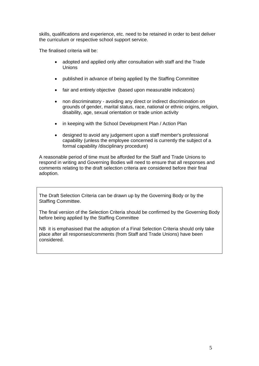skills, qualifications and experience, etc. need to be retained in order to best deliver the curriculum or respective school support service.

The finalised criteria will be:

- adopted and applied only after consultation with staff and the Trade Unions
- published in advance of being applied by the Staffing Committee
- fair and entirely objective (based upon measurable indicators)
- non discriminatory avoiding any direct or indirect discrimination on grounds of gender, marital status, race, national or ethnic origins, religion, disability, age, sexual orientation or trade union activity
- in keeping with the School Development Plan / Action Plan
- designed to avoid any judgement upon a staff member's professional capability (unless the employee concerned is currently the subject of a formal capability /disciplinary procedure)

A reasonable period of time must be afforded for the Staff and Trade Unions to respond in writing and Governing Bodies will need to ensure that all responses and comments relating to the draft selection criteria are considered before their final adoption.

The Draft Selection Criteria can be drawn up by the Governing Body or by the Staffing Committee.

The final version of the Selection Criteria should be confirmed by the Governing Body before being applied by the Staffing Committee

NB it is emphasised that the adoption of a Final Selection Criteria should only take place after all responses/comments (from Staff and Trade Unions) have been considered.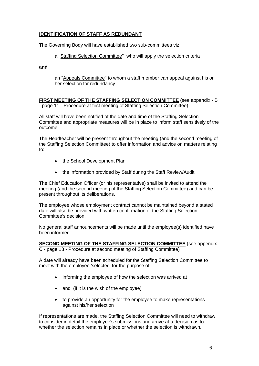## **IDENTIFICATION OF STAFF AS REDUNDANT**

The Governing Body will have established two sub-committees viz:

a "Staffing Selection Committee" who will apply the selection criteria

**and**

an "Appeals Committee" to whom a staff member can appeal against his or her selection for redundancy

**FIRST MEETING OF THE STAFFING SELECTION COMMITTEE** (see appendix - B - page 11 - Procedure at first meeting of Staffing Selection Committee)

All staff will have been notified of the date and time of the Staffing Selection Committee and appropriate measures will be in place to inform staff sensitively of the outcome.

The Headteacher will be present throughout the meeting (and the second meeting of the Staffing Selection Committee) to offer information and advice on matters relating to:

- the School Development Plan
- the information provided by Staff during the Staff Review/Audit

The Chief Education Officer (or his representative) shall be invited to attend the meeting (and the second meeting of the Staffing Selection Committee) and can be present throughout its deliberations.

The employee whose employment contract cannot be maintained beyond a stated date will also be provided with written confirmation of the Staffing Selection Committee's decision.

No general staff announcements will be made until the employee(s) identified have been informed.

**SECOND MEETING OF THE STAFFING SELECTION COMMITTEE** (see appendix C - page 13 - Procedure at second meeting of Staffing Committee)

A date will already have been scheduled for the Staffing Selection Committee to meet with the employee 'selected' for the purpose of:

- informing the employee of how the selection was arrived at
- and (if it is the wish of the employee)
- to provide an opportunity for the employee to make representations against his/her selection

If representations are made, the Staffing Selection Committee will need to withdraw to consider in detail the employee's submissions and arrive at a decision as to whether the selection remains in place or whether the selection is withdrawn.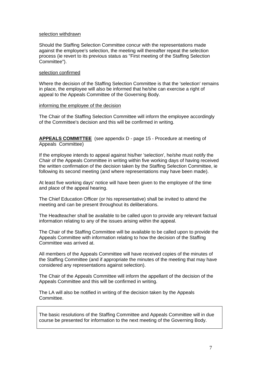#### selection withdrawn

Should the Staffing Selection Committee concur with the representations made against the employee's selection, the meeting will thereafter repeat the selection process (ie revert to its previous status as "First meeting of the Staffing Selection Committee").

#### selection confirmed

Where the decision of the Staffing Selection Committee is that the 'selection' remains in place, the employee will also be informed that he/she can exercise a right of appeal to the Appeals Committee of the Governing Body.

#### informing the employee of the decision

The Chair of the Staffing Selection Committee will inform the employee accordingly of the Committee's decision and this will be confirmed in writing.

**APPEALS COMMITTEE** (see appendix D - page 15 - Procedure at meeting of Appeals Committee)

If the employee intends to appeal against his/her 'selection', he/she must notify the Chair of the Appeals Committee in writing within five working days of having received the written confirmation of the decision taken by the Staffing Selection Committee, ie following its second meeting (and where representations may have been made).

At least five working days' notice will have been given to the employee of the time and place of the appeal hearing.

The Chief Education Officer (or his representative) shall be invited to attend the meeting and can be present throughout its deliberations.

The Headteacher shall be available to be called upon to provide any relevant factual information relating to any of the issues arising within the appeal.

The Chair of the Staffing Committee will be available to be called upon to provide the Appeals Committee with information relating to how the decision of the Staffing Committee was arrived at.

All members of the Appeals Committee will have received copies of the minutes of the Staffing Committee (and if appropriate the minutes of the meeting that may have considered any representations against selection).

The Chair of the Appeals Committee will inform the appellant of the decision of the Appeals Committee and this will be confirmed in writing.

The LA will also be notified in writing of the decision taken by the Appeals Committee.

The basic resolutions of the Staffing Committee and Appeals Committee will in due course be presented for information to the next meeting of the Governing Body.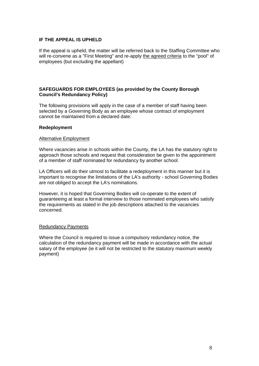## **IF THE APPEAL IS UPHELD**

If the appeal is upheld, the matter will be referred back to the Staffing Committee who will re-convene as a "First Meeting" and re-apply the agreed criteria to the "pool" of employees (but excluding the appellant)

## **SAFEGUARDS FOR EMPLOYEES (as provided by the County Borough Council's Redundancy Policy)**

The following provisions will apply in the case of a member of staff having been selected by a Governing Body as an employee whose contract of employment cannot be maintained from a declared date:

#### **Redeployment**

#### Alternative Employment

Where vacancies arise in schools within the County, the LA has the statutory right to approach those schools and request that consideration be given to the appointment of a member of staff nominated for redundancy by another school.

LA Officers will do their utmost to facilitate a redeployment in this manner but it is important to recognise the limitations of the LA's authority - school Governing Bodies are not obliged to accept the LA's nominations.

However, it is hoped that Governing Bodies will co-operate to the extent of guaranteeing at least a formal interview to those nominated employees who satisfy the requirements as stated in the job descriptions attached to the vacancies concerned.

## Redundancy Payments

Where the Council is required to issue a compulsory redundancy notice, the calculation of the redundancy payment will be made in accordance with the actual salary of the employee (ie it will not be restricted to the statutory maximum weekly payment)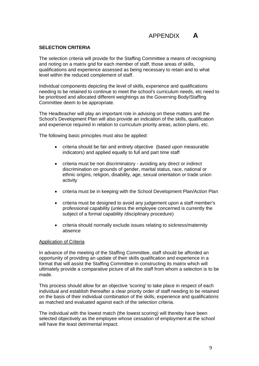# APPENDIX **A**

#### **SELECTION CRITERIA**

The selection criteria will provide for the Staffing Committee a means of recognising and noting on a matrix grid for each member of staff, those areas of skills, qualifications and experience assessed as being necessary to retain and to what level within the reduced complement of staff.

Individual components depicting the level of skills, experience and qualifications needing to be retained to continue to meet the school's curriculum needs, etc need to be prioritised and allocated different weightings as the Governing Body/Staffing Committee deem to be appropriate.

The Headteacher will play an important role in advising on these matters and the School's Development Plan will also provide an indication of the skills, qualification and experience required in relation to curriculum priority areas, action plans, etc.

The following basic principles must also be applied:

- criteria should be fair and entirely objective (based upon measurable indicators) and applied equally to full and part time staff
- criteria must be non discriminatory avoiding any direct or indirect discrimination on grounds of gender, marital status, race, national or ethnic origins, religion, disability, age, sexual orientation or trade union activity
- criteria must be in keeping with the School Development Plan/Action Plan
- criteria must be designed to avoid any judgement upon a staff member's professional capability (unless the employee concerned is currently the subject of a formal capability /disciplinary procedure)
- criteria should normally exclude issues relating to sickness/maternity absence

#### Application of Criteria

In advance of the meeting of the Staffing Committee, staff should be afforded an opportunity of providing an update of their skills qualification and experience in a format that will assist the Staffing Committee in constructing its matrix which will ultimately provide a comparative picture of all the staff from whom a selection is to be made.

This process should allow for an objective 'scoring' to take place in respect of each individual and establish thereafter a clear priority order of staff needing to be retained on the basis of their individual combination of the skills, experience and qualifications as matched and evaluated against each of the selection criteria.

The individual with the lowest match (the lowest scoring) will thereby have been selected objectively as the employee whose cessation of employment at the school will have the least detrimental impact.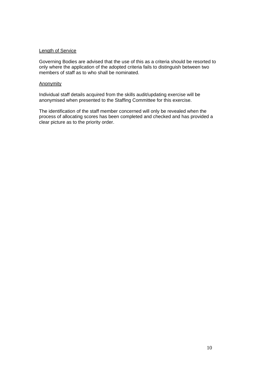### Length of Service

Governing Bodies are advised that the use of this as a criteria should be resorted to only where the application of the adopted criteria fails to distinguish between two members of staff as to who shall be nominated.

## Anonymity

Individual staff details acquired from the skills audit/updating exercise will be anonymised when presented to the Staffing Committee for this exercise.

The identification of the staff member concerned will only be revealed when the process of allocating scores has been completed and checked and has provided a clear picture as to the priority order.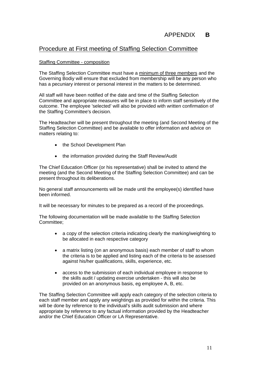# APPENDIX **B**

## Procedure at First meeting of Staffing Selection Committee

## Staffing Committee - composition

The Staffing Selection Committee must have a minimum of three members and the Governing Bodiy will ensure that excluded from membership will be any person who has a pecuniary interest or personal interest in the matters to be determined.

All staff will have been notified of the date and time of the Staffing Selection Committee and appropriate measures will be in place to inform staff sensitively of the outcome. The employee 'selected' will also be provided with written confirmation of the Staffing Committee's decision.

The Headteacher will be present throughout the meeting (and Second Meeting of the Staffing Selection Committee) and be available to offer information and advice on matters relating to:

- the School Development Plan
- the information provided during the Staff Review/Audit

The Chief Education Officer (or his representative) shall be invited to attend the meeting (and the Second Meeting of the Staffing Selection Committee) and can be present throughout its deliberations.

No general staff announcements will be made until the employee(s) identified have been informed.

It will be necessary for minutes to be prepared as a record of the proceedings.

The following documentation will be made available to the Staffing Selection Committee;

- a copy of the selection criteria indicating clearly the marking/weighting to be allocated in each respective category
- a matrix listing (on an anonymous basis) each member of staff to whom the criteria is to be applied and listing each of the criteria to be assessed against his/her qualifications, skills, experience, etc.
- access to the submission of each individual employee in response to the skills audit / updating exercise undertaken - this will also be provided on an anonymous basis, eg employee A, B, etc.

The Staffing Selection Committee will apply each category of the selection criteria to each staff member and apply any weightings as provided for within the criteria. This will be done by reference to the individual's skills audit submission and where appropriate by reference to any factual information provided by the Headteacher and/or the Chief Education Officer or LA Representative.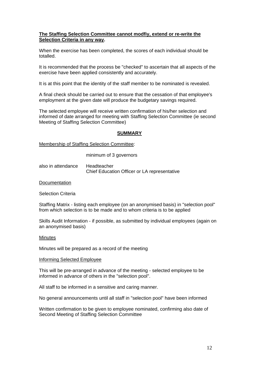## **The Staffing Selection Committee cannot modfiy, extend or re-write the Selection Criteria in any way.**

When the exercise has been completed, the scores of each individual should be totalled.

It is recommended that the process be "checked" to ascertain that all aspects of the exercise have been applied consistently and accurately.

It is at this point that the identity of the staff member to be nominated is revealed.

A final check should be carried out to ensure that the cessation of that employee's employment at the given date will produce the budgetary savings required.

The selected employee will receive written confirmation of his/her selection and informed of date arranged for meeting with Staffing Selection Committee (ie second Meeting of Staffing Selection Committee)

#### **SUMMARY**

Membership of Staffing Selection Committee:

minimum of 3 governors

also in attendance Headteacher Chief Education Officer or LA representative

**Documentation** 

Selection Criteria

Staffing Matrix - listing each employee (on an anonymised basis) in "selection pool" from which selection is to be made and to whom criteria is to be applied

Skills Audit Information - if possible, as submitted by individual employees (again on an anonymised basis)

#### **Minutes**

Minutes will be prepared as a record of the meeting

#### Informing Selected Employee

This will be pre-arranged in advance of the meeting - selected employee to be informed in advance of others in the "selection pool".

All staff to be informed in a sensitive and caring manner.

No general announcements until all staff in "selection pool" have been informed

Written confirmation to be given to employee nominated, confirming also date of Second Meeting of Staffing Selection Committee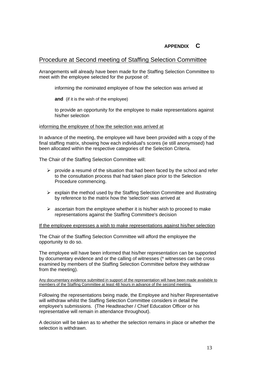## **APPENDIX C**

## Procedure at Second meeting of Staffing Selection Committee

Arrangements will already have been made for the Staffing Selection Committee to meet with the employee selected for the purpose of:

informing the nominated employee of how the selection was arrived at

**and** (if it is the wish of the employee)

to provide an opportunity for the employee to make representations against his/her selection

#### informing the employee of how the selection was arrived at

In advance of the meeting, the employee will have been provided with a copy of the final staffing matrix, showing how each individual's scores (ie still anonymised) had been allocated within the respective categories of the Selection Criteria.

The Chair of the Staffing Selection Committee will:

- $\triangleright$  provide a resume of the situation that had been faced by the school and refer to the consultation process that had taken place prior to the Selection Procedure commencing.
- $\triangleright$  explain the method used by the Staffing Selection Committee and illustrating by reference to the matrix how the 'selection' was arrived at
- $\triangleright$  ascertain from the employee whether it is his/her wish to proceed to make representations against the Staffing Committee's decision

#### If the employee expresses a wish to make representations against his/her selection

The Chair of the Staffing Selection Committee will afford the employee the opportunity to do so.

The employee will have been informed that his/her representation can be supported by documentary evidence and or the calling of witnesses (\* witnesses can be cross examined by members of the Staffing Selection Committee before they withdraw from the meeting).

Any documentary evidence submitted in support of the representation will have been made available to members of the Staffing Committee at least 48 hours in advance of the second meeting.

Following the representations being made, the Employee and his/her Representative will withdraw whilst the Staffing Selection Committee considers in detail the employee's submissions. (The Headteacher / Chief Education Officer or his representative will remain in attendance throughout).

A decision will be taken as to whether the selection remains in place or whether the selection is withdrawn.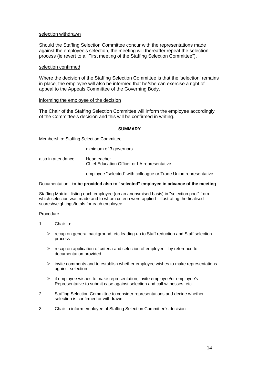#### selection withdrawn

Should the Staffing Selection Committee concur with the representations made against the employee's selection, the meeting will thereafter repeat the selection process (ie revert to a "First meeting of the Staffing Selection Committee").

#### selection confirmed

Where the decision of the Staffing Selection Committee is that the 'selection' remains in place, the employee will also be informed that he/she can exercise a right of appeal to the Appeals Committee of the Governing Body.

#### informing the employee of the decision

The Chair of the Staffing Selection Committee will inform the employee accordingly of the Committee's decision and this will be confirmed in writing.

#### **SUMMARY**

Membership: Staffing Selection Committee

minimum of 3 governors

also in attendance Headteacher Chief Education Officer or LA representative

employee "selected" with colleague or Trade Union representative

#### Documentation - **to be provided also to "selected" employee in advance of the meeting**

Staffing Matrix - listing each employee (on an anonymised basis) in "selection pool" from which selection was made and to whom criteria were applied - illustrating the finalised scores/weightings/totals for each employee

#### Procedure

- 1. Chair to:
	- $\triangleright$  recap on general background, etc leading up to Staff reduction and Staff selection process
	- $\triangleright$  recap on application of criteria and selection of employee by reference to documentation provided
	- $\triangleright$  invite comments and to establish whether employee wishes to make representations against selection
	- $\triangleright$  if employee wishes to make representation, invite employee/or employee's Representative to submit case against selection and call witnesses, etc.
- 2. Staffing Selection Committee to consider representations and decide whether selection is confirmed or withdrawn
- 3. Chair to inform employee of Staffing Selection Committee's decision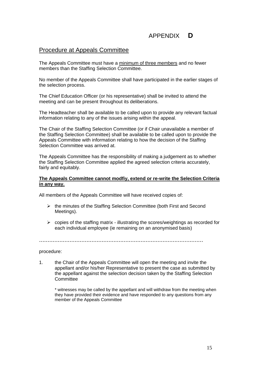# APPENDIX **D**

## Procedure at Appeals Committee

The Appeals Committee must have a minimum of three members and no fewer members than the Staffing Selection Committee.

No member of the Appeals Committee shall have participated in the earlier stages of the selection process.

The Chief Education Officer (or his representative) shall be invited to attend the meeting and can be present throughout its deliberations.

The Headteacher shall be available to be called upon to provide any relevant factual information relating to any of the issues arising within the appeal.

The Chair of the Staffing Selection Committee (or if Chair unavailable a member of the Staffing Selection Committee) shall be available to be called upon to provide the Appeals Committee with information relating to how the decision of the Staffing Selection Committee was arrived at.

The Appeals Committee has the responsibility of making a judgement as to whether the Staffing Selection Committee applied the agreed selection criteria accurately, fairly and equitably.

## **The Appeals Committee cannot modfiy, extend or re-write the Selection Criteria in any way.**

All members of the Appeals Committee will have received copies of:

- $\triangleright$  the minutes of the Staffing Selection Committee (both First and Second Meetings).
- $\triangleright$  copies of the staffing matrix illustrating the scores/weightings as recorded for each individual employee (ie remaining on an anonymised basis)

.................................................................................................

procedure:

1. the Chair of the Appeals Committee will open the meeting and invite the appellant and/or his/her Representative to present the case as submitted by the appellant against the selection decision taken by the Staffing Selection Committee

\* witnesses may be called by the appellant and will withdraw from the meeting when they have provided their evidence and have responded to any questions from any member of the Appeals Committee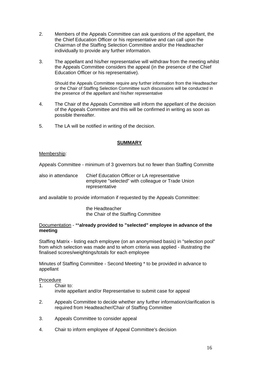- 2. Members of the Appeals Committee can ask questions of the appellant, the the Chief Education Officer or his representative and can call upon the Chairman of the Staffing Selection Committee and/or the Headteacher individually to provide any further information.
- 3. The appellant and his/her representative will withdraw from the meeting whilst the Appeals Committee considers the appeal (in the presence of the Chief Education Officer or his representative).

Should the Appeals Committee require any further information from the Headteacher or the Chair of Staffing Selection Committee such discussions will be conducted in the presence of the appellant and his/her representative

- 4. The Chair of the Appeals Committee will inform the appellant of the decision of the Appeals Committee and this will be confirmed in writing as soon as possible thereafter.
- 5. The LA will be notified in writing of the decision.

## **SUMMARY**

## Membership:

Appeals Committee - minimum of 3 governors but no fewer than Staffing Committe

also in attendance Chief Education Officer or LA representative employee "selected" with colleague or Trade Union representative

and available to provide information if requested by the Appeals Committee:

the Headteacher the Chair of the Staffing Committee

## Documentation - \*\***already provided to "selected" employee in advance of the meeting**

Staffing Matrix - listing each employee (on an anonymised basis) in "selection pool" from which selection was made and to whom criteria was applied - illustrating the finalised scores/weightings/totals for each employee

Minutes of Staffing Committee - Second Meeting \* to be provided in advance to appellant

#### Procedure

- 1. Chair to: invite appellant and/or Representative to submit case for appeal
- 2. Appeals Committee to decide whether any further information/clarification is required from Headteacher/Chair of Staffing Committee
- 3. Appeals Committee to consider appeal
- 4. Chair to inform employee of Appeal Committee's decision